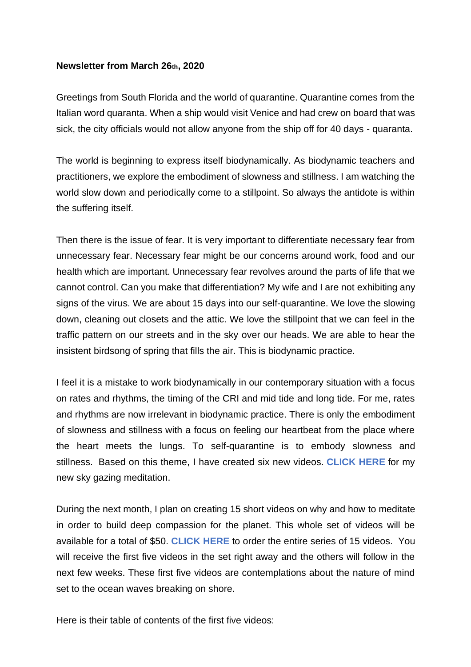## **Newsletter from March 26th, 2020**

Greetings from South Florida and the world of quarantine. Quarantine comes from the Italian word quaranta. When a ship would visit Venice and had crew on board that was sick, the city officials would not allow anyone from the ship off for 40 days - quaranta.

The world is beginning to express itself biodynamically. As biodynamic teachers and practitioners, we explore the embodiment of slowness and stillness. I am watching the world slow down and periodically come to a stillpoint. So always the antidote is within the suffering itself.

Then there is the issue of fear. It is very important to differentiate necessary fear from unnecessary fear. Necessary fear might be our concerns around work, food and our health which are important. Unnecessary fear revolves around the parts of life that we cannot control. Can you make that differentiation? My wife and I are not exhibiting any signs of the virus. We are about 15 days into our self-quarantine. We love the slowing down, cleaning out closets and the attic. We love the stillpoint that we can feel in the traffic pattern on our streets and in the sky over our heads. We are able to hear the insistent birdsong of spring that fills the air. This is biodynamic practice.

I feel it is a mistake to work biodynamically in our contemporary situation with a focus on rates and rhythms, the timing of the CRI and mid tide and long tide. For me, rates and rhythms are now irrelevant in biodynamic practice. There is only the embodiment of slowness and stillness with a focus on feeling our heartbeat from the place where the heart meets the lungs. To self-quarantine is to embody slowness and stillness. Based on this theme, I have created six new videos. **[CLICK HERE](https://youtu.be/m4MA1Xxbymo)** for my new sky gazing meditation.

During the next month, I plan on creating 15 short videos on why and how to meditate in order to build deep compassion for the planet. This whole set of videos will be available for a total of \$50. **[CLICK HERE](https://www.sheaheart.com/product/a-three-part-video-training-series-on-compassion-during-a-pandemic/)** to order the entire series of 15 videos. You will receive the first five videos in the set right away and the others will follow in the next few weeks. These first five videos are contemplations about the nature of mind set to the ocean waves breaking on shore.

Here is their table of contents of the first five videos: